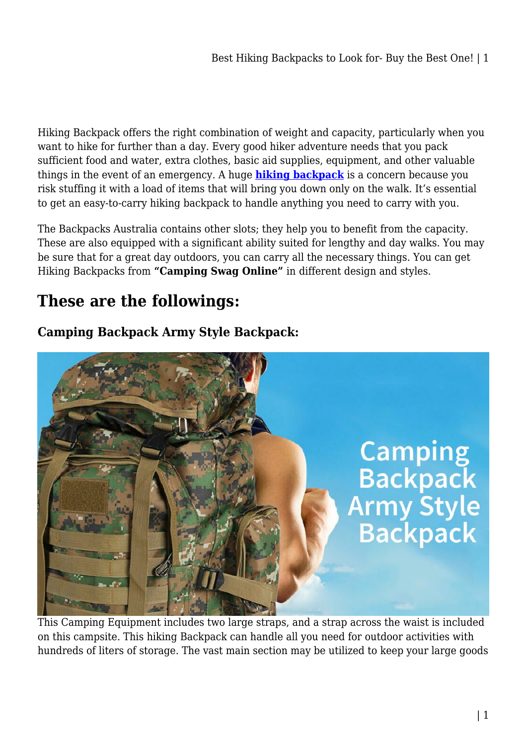Hiking Backpack offers the right combination of weight and capacity, particularly when you want to hike for further than a day. Every good hiker adventure needs that you pack sufficient food and water, extra clothes, basic aid supplies, equipment, and other valuable things in the event of an emergency. A huge **[hiking backpack](https://campingswagonline.com.au/hiking-backpack/)** is a concern because you risk stuffing it with a load of items that will bring you down only on the walk. It's essential to get an easy-to-carry hiking backpack to handle anything you need to carry with you.

The Backpacks Australia contains other slots; they help you to benefit from the capacity. These are also equipped with a significant ability suited for lengthy and day walks. You may be sure that for a great day outdoors, you can carry all the necessary things. You can get Hiking Backpacks from **"Camping Swag Online"** in different design and styles.

# **These are the followings:**

## **Camping Backpack Army Style Backpack:**



This Camping Equipment includes two large straps, and a strap across the waist is included on this campsite. This hiking Backpack can handle all you need for outdoor activities with hundreds of liters of storage. The vast main section may be utilized to keep your large goods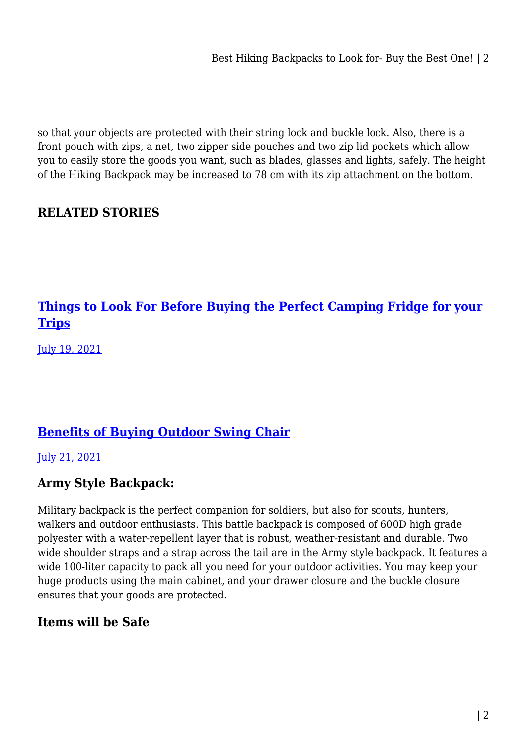Best Hiking Backpacks to Look for- Buy the Best One! | 2

so that your objects are protected with their string lock and buckle lock. Also, there is a front pouch with zips, a net, two zipper side pouches and two zip lid pockets which allow you to easily store the goods you want, such as blades, glasses and lights, safely. The height of the Hiking Backpack may be increased to 78 cm with its zip attachment on the bottom.

### **RELATED STORIES**

## **[Things to Look For Before Buying the Perfect Camping Fridge for your](https://campinglifeaustralia.com.au/398-2/) [Trips](https://campinglifeaustralia.com.au/398-2/)**

[July 19, 2021](https://campinglifeaustralia.com.au/398-2/)

## **[Benefits of Buying Outdoor Swing Chair](https://campinglifeaustralia.com.au/benefits-of-buying-outdoor-swing-chair/)**

[July 21, 2021](https://campinglifeaustralia.com.au/benefits-of-buying-outdoor-swing-chair/)

#### **Army Style Backpack:**

Military backpack is the perfect companion for soldiers, but also for scouts, hunters, walkers and outdoor enthusiasts. This battle backpack is composed of 600D high grade polyester with a water-repellent layer that is robust, weather-resistant and durable. Two wide shoulder straps and a strap across the tail are in the Army style backpack. It features a wide 100-liter capacity to pack all you need for your outdoor activities. You may keep your huge products using the main cabinet, and your drawer closure and the buckle closure ensures that your goods are protected.

#### **Items will be Safe**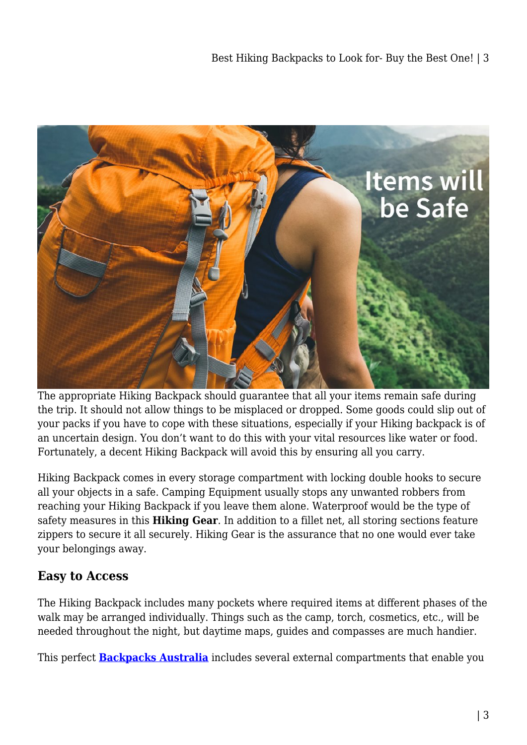

The appropriate Hiking Backpack should guarantee that all your items remain safe during the trip. It should not allow things to be misplaced or dropped. Some goods could slip out of your packs if you have to cope with these situations, especially if your Hiking backpack is of an uncertain design. You don't want to do this with your vital resources like water or food. Fortunately, a decent Hiking Backpack will avoid this by ensuring all you carry.

Hiking Backpack comes in every storage compartment with locking double hooks to secure all your objects in a safe. Camping Equipment usually stops any unwanted robbers from reaching your Hiking Backpack if you leave them alone. Waterproof would be the type of safety measures in this **Hiking Gear**. In addition to a fillet net, all storing sections feature zippers to secure it all securely. Hiking Gear is the assurance that no one would ever take your belongings away.

#### **Easy to Access**

The Hiking Backpack includes many pockets where required items at different phases of the walk may be arranged individually. Things such as the camp, torch, cosmetics, etc., will be needed throughout the night, but daytime maps, guides and compasses are much handier.

This perfect **[Backpacks Australia](https://campingswagonline.com.au/hiking-backpack/)** includes several external compartments that enable you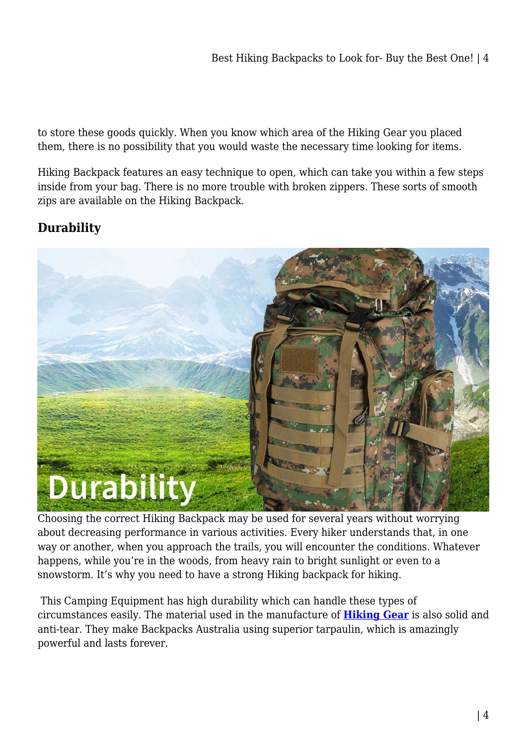to store these goods quickly. When you know which area of the Hiking Gear you placed them, there is no possibility that you would waste the necessary time looking for items.

Hiking Backpack features an easy technique to open, which can take you within a few steps inside from your bag. There is no more trouble with broken zippers. These sorts of smooth zips are available on the Hiking Backpack.

### **Durability**



Choosing the correct Hiking Backpack may be used for several years without worrying about decreasing performance in various activities. Every hiker understands that, in one way or another, when you approach the trails, you will encounter the conditions. Whatever happens, while you're in the woods, from heavy rain to bright sunlight or even to a snowstorm. It's why you need to have a strong Hiking backpack for hiking.

 This Camping Equipment has high durability which can handle these types of circumstances easily. The material used in the manufacture of **[Hiking Gear](https://campingswagonline.com.au/)** is also solid and anti-tear. They make Backpacks Australia using superior tarpaulin, which is amazingly powerful and lasts forever.